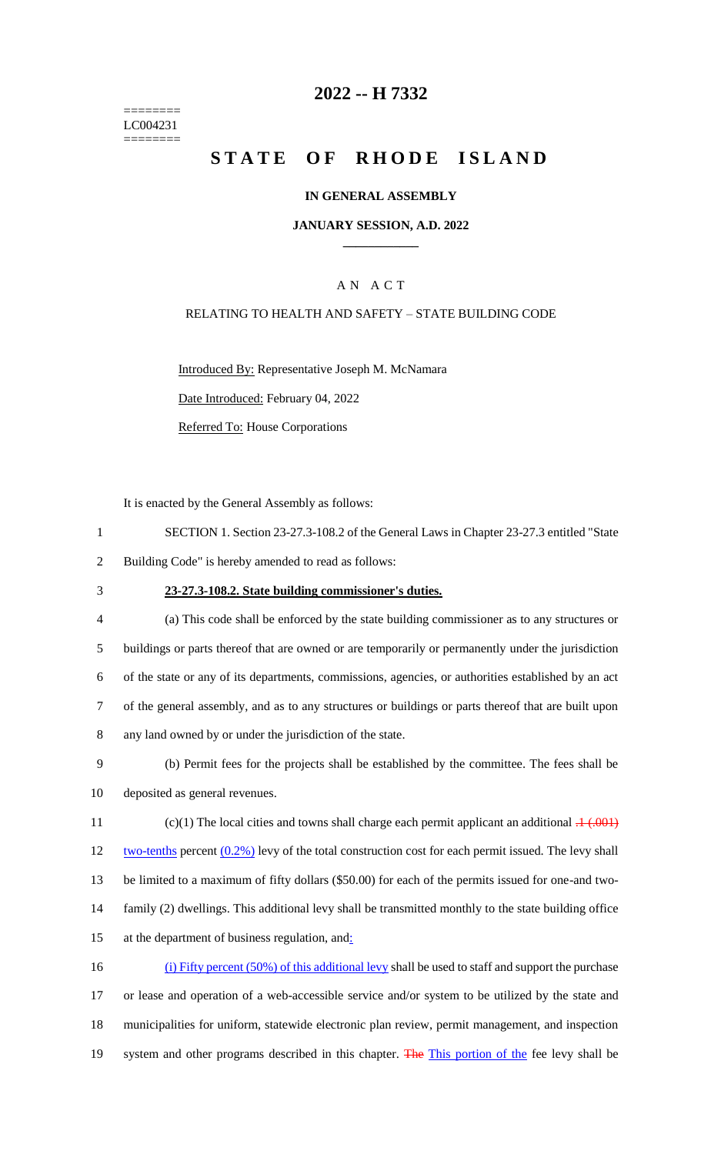======== LC004231 ========

# **2022 -- H 7332**

# **STATE OF RHODE ISLAND**

### **IN GENERAL ASSEMBLY**

### **JANUARY SESSION, A.D. 2022 \_\_\_\_\_\_\_\_\_\_\_\_**

### A N A C T

### RELATING TO HEALTH AND SAFETY – STATE BUILDING CODE

Introduced By: Representative Joseph M. McNamara Date Introduced: February 04, 2022 Referred To: House Corporations

It is enacted by the General Assembly as follows:

- 1 SECTION 1. Section 23-27.3-108.2 of the General Laws in Chapter 23-27.3 entitled "State 2 Building Code" is hereby amended to read as follows:
- 

### 3 **23-27.3-108.2. State building commissioner's duties.**

 (a) This code shall be enforced by the state building commissioner as to any structures or buildings or parts thereof that are owned or are temporarily or permanently under the jurisdiction of the state or any of its departments, commissions, agencies, or authorities established by an act of the general assembly, and as to any structures or buildings or parts thereof that are built upon any land owned by or under the jurisdiction of the state.

9 (b) Permit fees for the projects shall be established by the committee. The fees shall be 10 deposited as general revenues.

11 (c)(1) The local cities and towns shall charge each permit applicant an additional  $.1 \div 0.001$ 12 two-tenths percent  $(0.2\%)$  levy of the total construction cost for each permit issued. The levy shall 13 be limited to a maximum of fifty dollars (\$50.00) for each of the permits issued for one-and two-14 family (2) dwellings. This additional levy shall be transmitted monthly to the state building office 15 at the department of business regulation, and:

 (i) Fifty percent (50%) of this additional levy shall be used to staff and support the purchase or lease and operation of a web-accessible service and/or system to be utilized by the state and municipalities for uniform, statewide electronic plan review, permit management, and inspection 19 system and other programs described in this chapter. The This portion of the fee levy shall be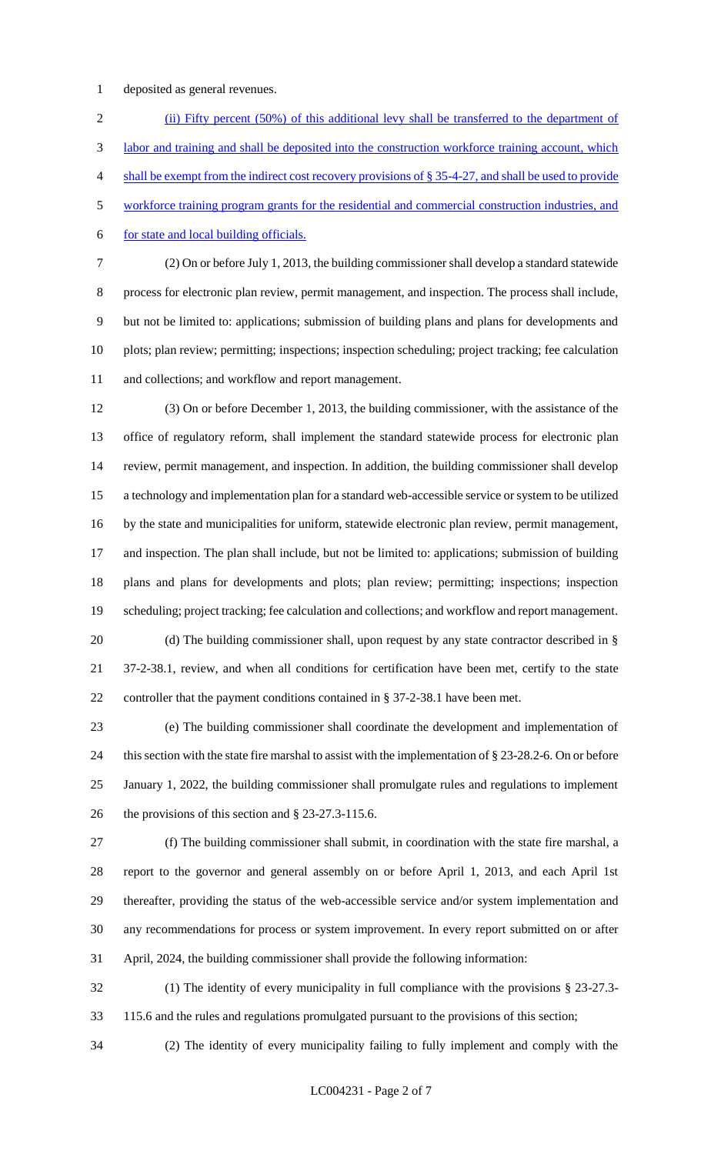deposited as general revenues.

2 (ii) Fifty percent (50%) of this additional levy shall be transferred to the department of labor and training and shall be deposited into the construction workforce training account, which shall be exempt from the indirect cost recovery provisions of § 35-4-27, and shall be used to provide workforce training program grants for the residential and commercial construction industries, and for state and local building officials.

 (2) On or before July 1, 2013, the building commissioner shall develop a standard statewide process for electronic plan review, permit management, and inspection. The process shall include, but not be limited to: applications; submission of building plans and plans for developments and plots; plan review; permitting; inspections; inspection scheduling; project tracking; fee calculation and collections; and workflow and report management.

 (3) On or before December 1, 2013, the building commissioner, with the assistance of the office of regulatory reform, shall implement the standard statewide process for electronic plan review, permit management, and inspection. In addition, the building commissioner shall develop a technology and implementation plan for a standard web-accessible service or system to be utilized by the state and municipalities for uniform, statewide electronic plan review, permit management, and inspection. The plan shall include, but not be limited to: applications; submission of building plans and plans for developments and plots; plan review; permitting; inspections; inspection scheduling; project tracking; fee calculation and collections; and workflow and report management. 20 (d) The building commissioner shall, upon request by any state contractor described in § 37-2-38.1, review, and when all conditions for certification have been met, certify to the state

controller that the payment conditions contained in § 37-2-38.1 have been met.

 (e) The building commissioner shall coordinate the development and implementation of this section with the state fire marshal to assist with the implementation of § 23-28.2-6. On or before January 1, 2022, the building commissioner shall promulgate rules and regulations to implement the provisions of this section and § 23-27.3-115.6.

 (f) The building commissioner shall submit, in coordination with the state fire marshal, a report to the governor and general assembly on or before April 1, 2013, and each April 1st thereafter, providing the status of the web-accessible service and/or system implementation and any recommendations for process or system improvement. In every report submitted on or after April, 2024, the building commissioner shall provide the following information:

 (1) The identity of every municipality in full compliance with the provisions § 23-27.3- 115.6 and the rules and regulations promulgated pursuant to the provisions of this section;

(2) The identity of every municipality failing to fully implement and comply with the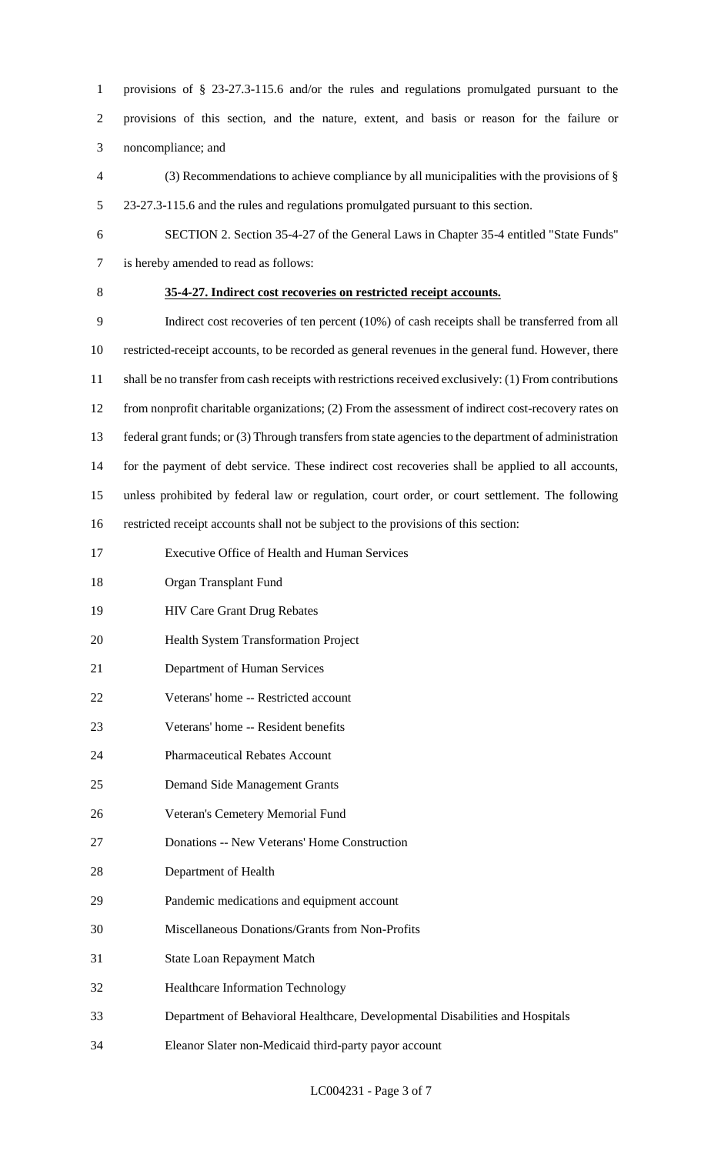provisions of § 23-27.3-115.6 and/or the rules and regulations promulgated pursuant to the provisions of this section, and the nature, extent, and basis or reason for the failure or noncompliance; and

- (3) Recommendations to achieve compliance by all municipalities with the provisions of § 23-27.3-115.6 and the rules and regulations promulgated pursuant to this section.
- SECTION 2. Section 35-4-27 of the General Laws in Chapter 35-4 entitled "State Funds" is hereby amended to read as follows:
- 

# **35-4-27. Indirect cost recoveries on restricted receipt accounts.**

 Indirect cost recoveries of ten percent (10%) of cash receipts shall be transferred from all restricted-receipt accounts, to be recorded as general revenues in the general fund. However, there shall be no transfer from cash receipts with restrictions received exclusively: (1) From contributions from nonprofit charitable organizations; (2) From the assessment of indirect cost-recovery rates on federal grant funds; or (3) Through transfers from state agencies to the department of administration for the payment of debt service. These indirect cost recoveries shall be applied to all accounts, unless prohibited by federal law or regulation, court order, or court settlement. The following restricted receipt accounts shall not be subject to the provisions of this section: Executive Office of Health and Human Services

- Organ Transplant Fund
- HIV Care Grant Drug Rebates
- Health System Transformation Project
- Department of Human Services
- Veterans' home -- Restricted account
- Veterans' home -- Resident benefits
- Pharmaceutical Rebates Account
- Demand Side Management Grants
- Veteran's Cemetery Memorial Fund
- Donations -- New Veterans' Home Construction
- Department of Health
- Pandemic medications and equipment account
- Miscellaneous Donations/Grants from Non-Profits
- State Loan Repayment Match
- Healthcare Information Technology
- Department of Behavioral Healthcare, Developmental Disabilities and Hospitals
- Eleanor Slater non-Medicaid third-party payor account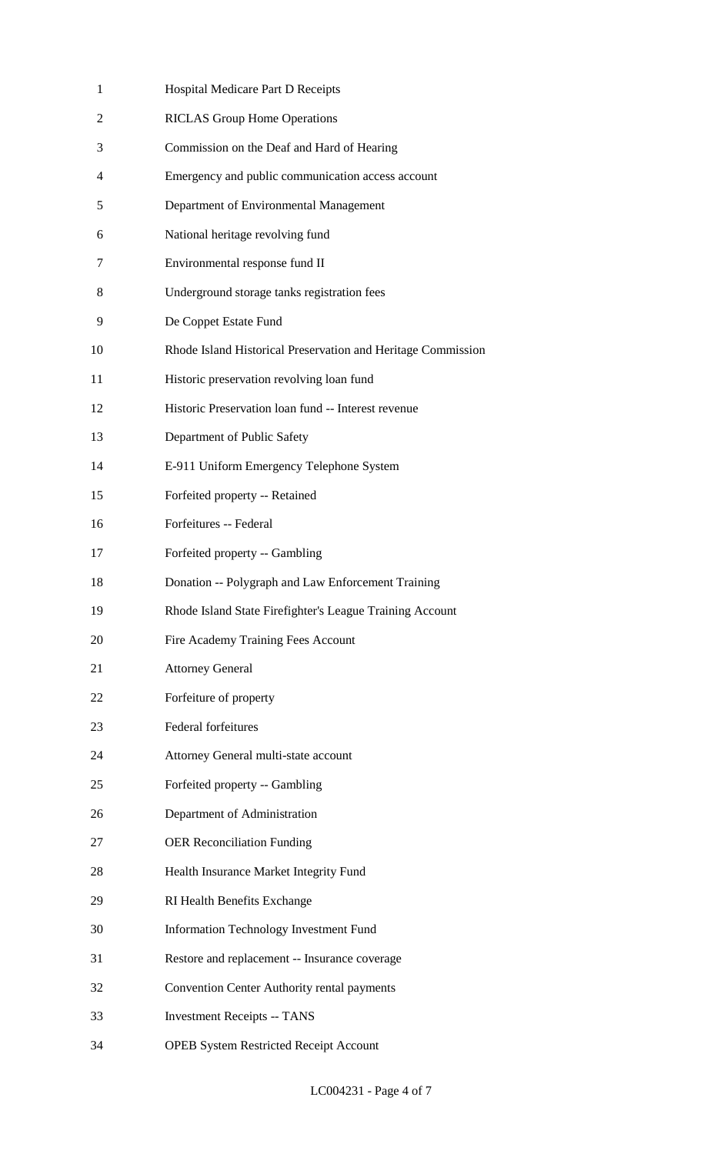| 1              | Hospital Medicare Part D Receipts                            |
|----------------|--------------------------------------------------------------|
| $\overline{2}$ | <b>RICLAS Group Home Operations</b>                          |
| 3              | Commission on the Deaf and Hard of Hearing                   |
| 4              | Emergency and public communication access account            |
| 5              | Department of Environmental Management                       |
| 6              | National heritage revolving fund                             |
| 7              | Environmental response fund II                               |
| 8              | Underground storage tanks registration fees                  |
| 9              | De Coppet Estate Fund                                        |
| 10             | Rhode Island Historical Preservation and Heritage Commission |
| 11             | Historic preservation revolving loan fund                    |
| 12             | Historic Preservation loan fund -- Interest revenue          |
| 13             | Department of Public Safety                                  |
| 14             | E-911 Uniform Emergency Telephone System                     |
| 15             | Forfeited property -- Retained                               |
| 16             | Forfeitures -- Federal                                       |
| 17             | Forfeited property -- Gambling                               |
| 18             | Donation -- Polygraph and Law Enforcement Training           |
| 19             | Rhode Island State Firefighter's League Training Account     |
| 20             | Fire Academy Training Fees Account                           |
| 21             | <b>Attorney General</b>                                      |
| 22             | Forfeiture of property                                       |
| 23             | Federal forfeitures                                          |
| 24             | Attorney General multi-state account                         |
| 25             | Forfeited property -- Gambling                               |
| 26             | Department of Administration                                 |
| 27             | <b>OER Reconciliation Funding</b>                            |
| 28             | Health Insurance Market Integrity Fund                       |
| 29             | RI Health Benefits Exchange                                  |
| 30             | <b>Information Technology Investment Fund</b>                |
| 31             | Restore and replacement -- Insurance coverage                |
| 32             | Convention Center Authority rental payments                  |
| 33             | <b>Investment Receipts -- TANS</b>                           |
| 34             | <b>OPEB System Restricted Receipt Account</b>                |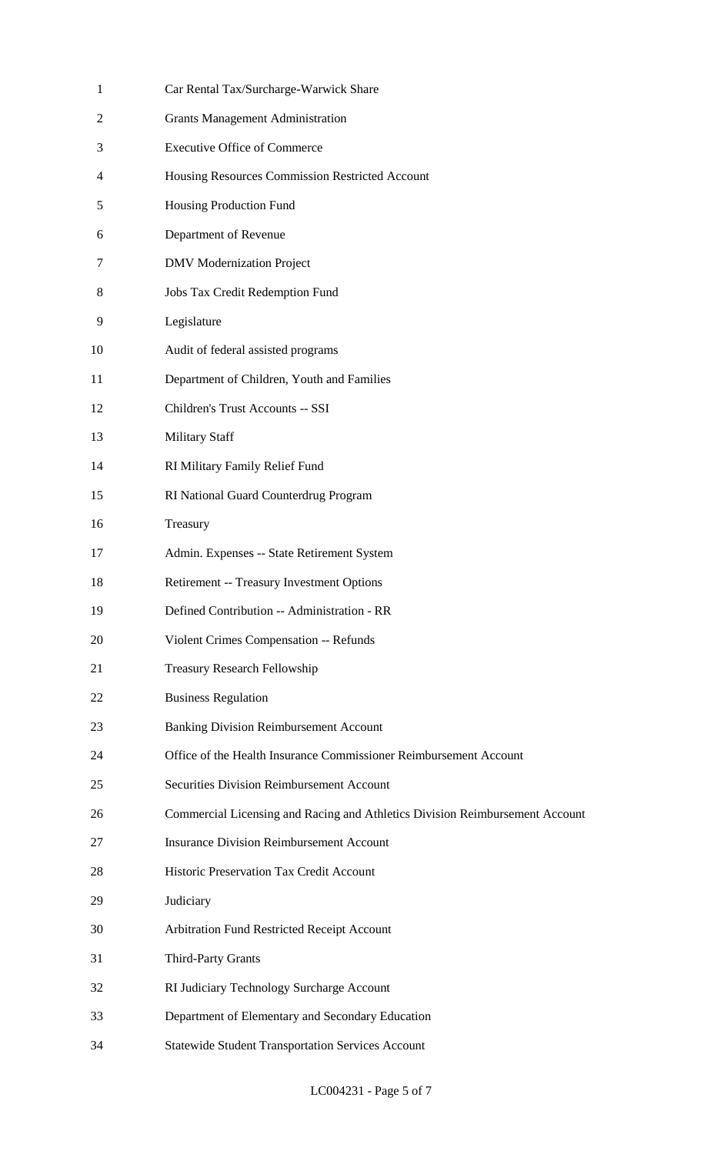| $\mathbf{1}$ | Car Rental Tax/Surcharge-Warwick Share                                       |
|--------------|------------------------------------------------------------------------------|
| 2            | <b>Grants Management Administration</b>                                      |
| 3            | <b>Executive Office of Commerce</b>                                          |
| 4            | Housing Resources Commission Restricted Account                              |
| 5            | Housing Production Fund                                                      |
| 6            | Department of Revenue                                                        |
| 7            | <b>DMV</b> Modernization Project                                             |
| 8            | Jobs Tax Credit Redemption Fund                                              |
| 9            | Legislature                                                                  |
| 10           | Audit of federal assisted programs                                           |
| 11           | Department of Children, Youth and Families                                   |
| 12           | Children's Trust Accounts -- SSI                                             |
| 13           | <b>Military Staff</b>                                                        |
| 14           | RI Military Family Relief Fund                                               |
| 15           | RI National Guard Counterdrug Program                                        |
| 16           | Treasury                                                                     |
| 17           | Admin. Expenses -- State Retirement System                                   |
| 18           | Retirement -- Treasury Investment Options                                    |
| 19           | Defined Contribution -- Administration - RR                                  |
| 20           | Violent Crimes Compensation -- Refunds                                       |
| 21           | <b>Treasury Research Fellowship</b>                                          |
| 22           | <b>Business Regulation</b>                                                   |
| 23           | <b>Banking Division Reimbursement Account</b>                                |
| 24           | Office of the Health Insurance Commissioner Reimbursement Account            |
| 25           | <b>Securities Division Reimbursement Account</b>                             |
| 26           | Commercial Licensing and Racing and Athletics Division Reimbursement Account |
| 27           | <b>Insurance Division Reimbursement Account</b>                              |
| 28           | Historic Preservation Tax Credit Account                                     |
| 29           | Judiciary                                                                    |
| 30           | Arbitration Fund Restricted Receipt Account                                  |
| 31           | <b>Third-Party Grants</b>                                                    |
| 32           | RI Judiciary Technology Surcharge Account                                    |
| 33           | Department of Elementary and Secondary Education                             |
| 34           | <b>Statewide Student Transportation Services Account</b>                     |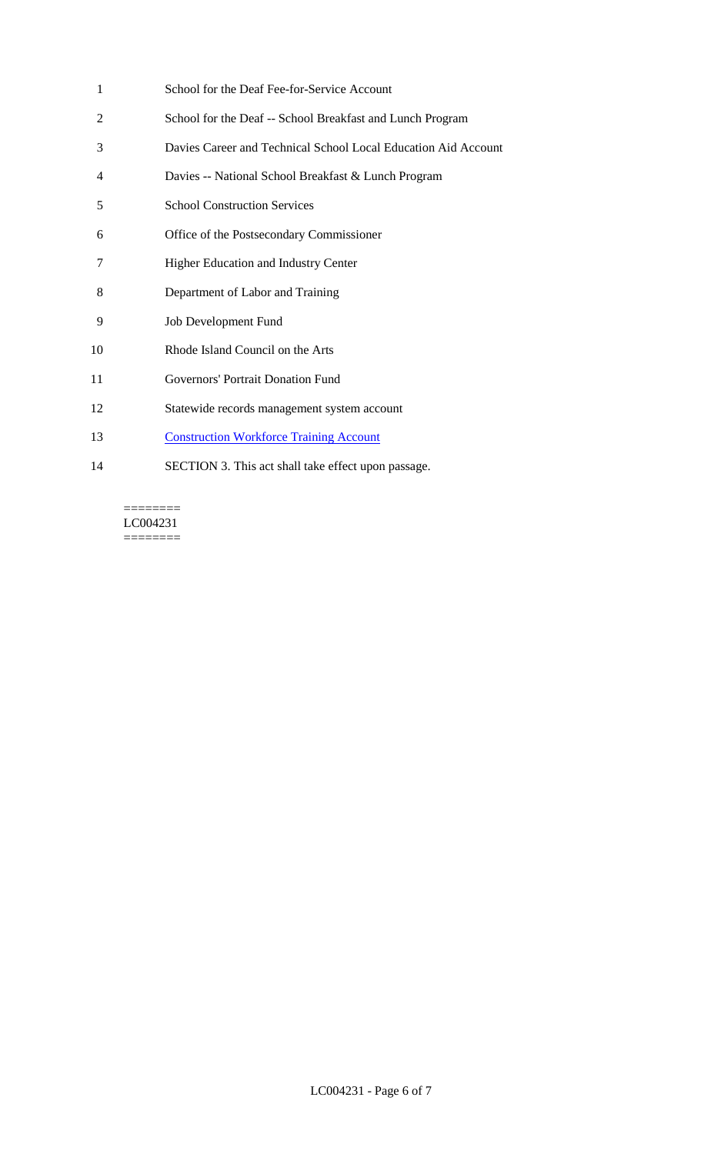| 1  | School for the Deaf Fee-for-Service Account                    |
|----|----------------------------------------------------------------|
| 2  | School for the Deaf -- School Breakfast and Lunch Program      |
| 3  | Davies Career and Technical School Local Education Aid Account |
| 4  | Davies -- National School Breakfast & Lunch Program            |
| 5  | <b>School Construction Services</b>                            |
| 6  | Office of the Postsecondary Commissioner                       |
| 7  | <b>Higher Education and Industry Center</b>                    |
| 8  | Department of Labor and Training                               |
| 9  | <b>Job Development Fund</b>                                    |
| 10 | Rhode Island Council on the Arts                               |
| 11 | Governors' Portrait Donation Fund                              |
| 12 | Statewide records management system account                    |
| 13 | <b>Construction Workforce Training Account</b>                 |
| 14 | SECTION 3. This act shall take effect upon passage.            |

 $=$ LC004231  $=$